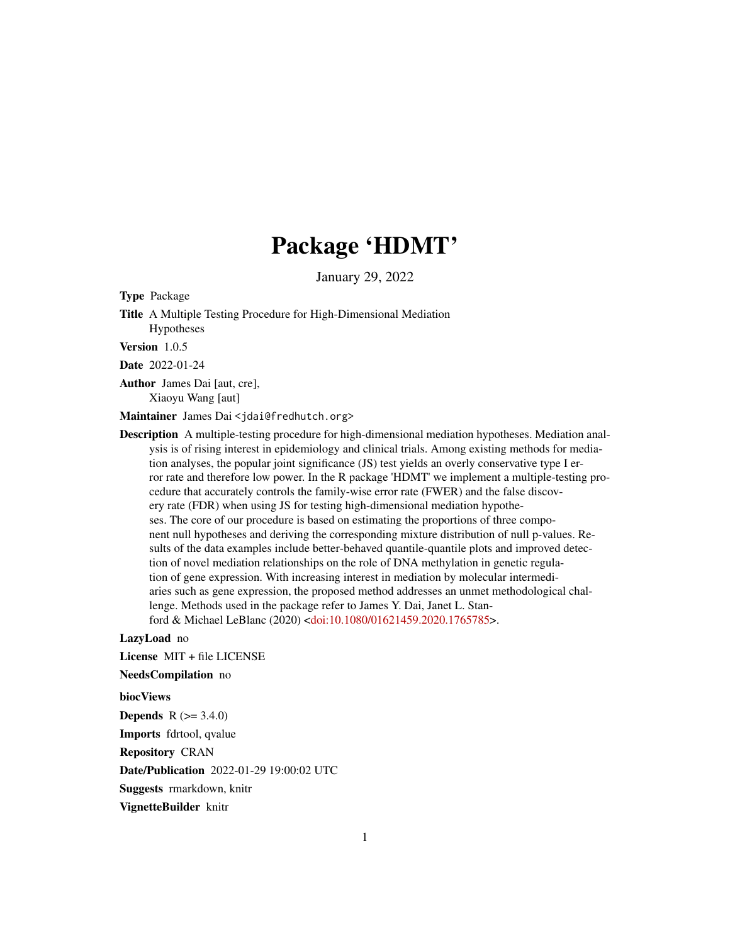# Package 'HDMT'

January 29, 2022

Type Package

Title A Multiple Testing Procedure for High-Dimensional Mediation Hypotheses

Version 1.0.5

Date 2022-01-24

Author James Dai [aut, cre], Xiaoyu Wang [aut]

Maintainer James Dai <jdai@fredhutch.org>

Description A multiple-testing procedure for high-dimensional mediation hypotheses. Mediation analysis is of rising interest in epidemiology and clinical trials. Among existing methods for mediation analyses, the popular joint significance (JS) test yields an overly conservative type I error rate and therefore low power. In the R package 'HDMT' we implement a multiple-testing procedure that accurately controls the family-wise error rate (FWER) and the false discovery rate (FDR) when using JS for testing high-dimensional mediation hypotheses. The core of our procedure is based on estimating the proportions of three component null hypotheses and deriving the corresponding mixture distribution of null p-values. Results of the data examples include better-behaved quantile-quantile plots and improved detection of novel mediation relationships on the role of DNA methylation in genetic regulation of gene expression. With increasing interest in mediation by molecular intermediaries such as gene expression, the proposed method addresses an unmet methodological challenge. Methods used in the package refer to James Y. Dai, Janet L. Stanford & Michael LeBlanc (2020) [<doi:10.1080/01621459.2020.1765785>](https://doi.org/10.1080/01621459.2020.1765785).

#### LazyLoad no

License MIT + file LICENSE

NeedsCompilation no

biocViews

**Depends** R  $(>= 3.4.0)$ Imports fdrtool, qvalue

Repository CRAN

Date/Publication 2022-01-29 19:00:02 UTC

Suggests rmarkdown, knitr

VignetteBuilder knitr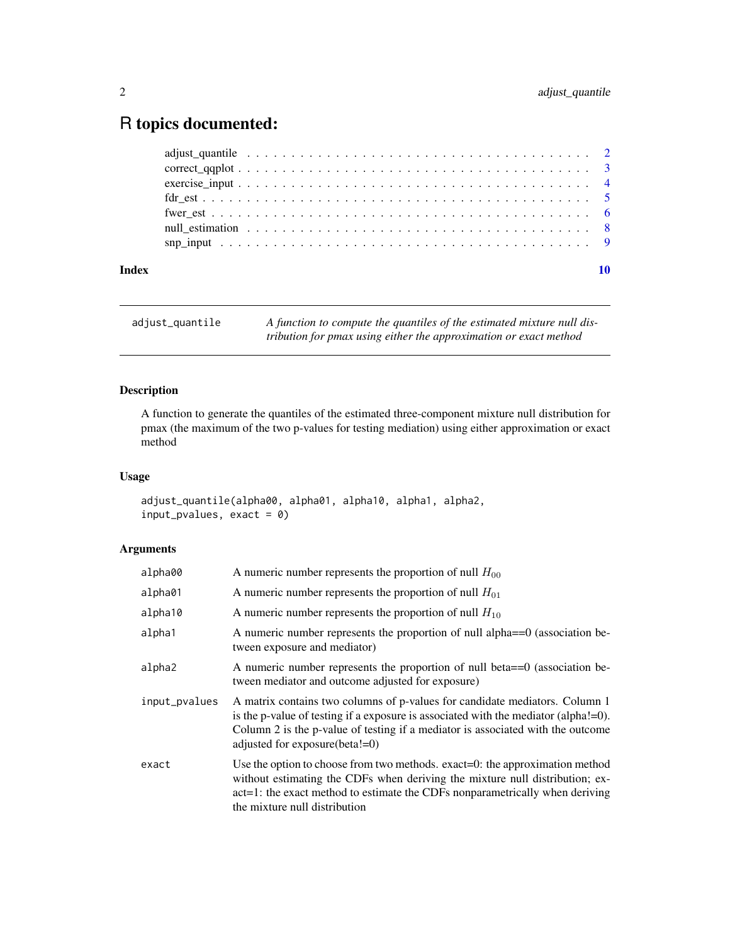## <span id="page-1-0"></span>R topics documented:

| Index |  |  |  |  |
|-------|--|--|--|--|
|       |  |  |  |  |
|       |  |  |  |  |
|       |  |  |  |  |
|       |  |  |  |  |
|       |  |  |  |  |
|       |  |  |  |  |
|       |  |  |  |  |

| adjust_quantile | A function to compute the quantiles of the estimated mixture null dis- |
|-----------------|------------------------------------------------------------------------|
|                 | tribution for pmax using either the approximation or exact method      |

### Description

A function to generate the quantiles of the estimated three-component mixture null distribution for pmax (the maximum of the two p-values for testing mediation) using either approximation or exact method

#### Usage

```
adjust_quantile(alpha00, alpha01, alpha10, alpha1, alpha2,
input_pvalues, exact = 0)
```
#### Arguments

| alpha00       | A numeric number represents the proportion of null $H_{00}$                                                                                                                                                                                                                                  |
|---------------|----------------------------------------------------------------------------------------------------------------------------------------------------------------------------------------------------------------------------------------------------------------------------------------------|
| alpha01       | A numeric number represents the proportion of null $H_{01}$                                                                                                                                                                                                                                  |
| alpha10       | A numeric number represents the proportion of null $H_{10}$                                                                                                                                                                                                                                  |
| alpha1        | A numeric number represents the proportion of null alpha==0 (association be-<br>tween exposure and mediator)                                                                                                                                                                                 |
| alpha2        | A numeric number represents the proportion of null beta==0 (association be-<br>tween mediator and outcome adjusted for exposure)                                                                                                                                                             |
| input_pvalues | A matrix contains two columns of p-values for candidate mediators. Column 1<br>is the p-value of testing if a exposure is associated with the mediator (alpha! $=0$ ).<br>Column 2 is the p-value of testing if a mediator is associated with the outcome<br>adjusted for exposure (beta!=0) |
| exact         | Use the option to choose from two methods. exact=0: the approximation method<br>without estimating the CDFs when deriving the mixture null distribution; ex-<br>act=1: the exact method to estimate the CDFs nonparametrically when deriving<br>the mixture null distribution                |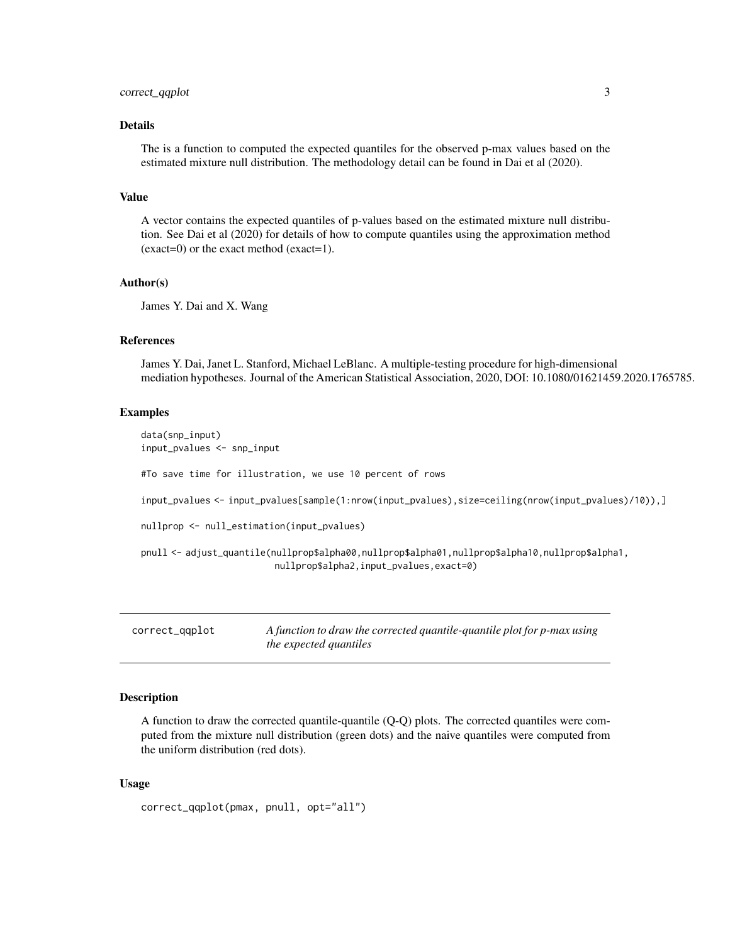#### <span id="page-2-0"></span>Details

The is a function to computed the expected quantiles for the observed p-max values based on the estimated mixture null distribution. The methodology detail can be found in Dai et al (2020).

#### Value

A vector contains the expected quantiles of p-values based on the estimated mixture null distribution. See Dai et al (2020) for details of how to compute quantiles using the approximation method (exact=0) or the exact method (exact=1).

#### Author(s)

James Y. Dai and X. Wang

#### References

James Y. Dai, Janet L. Stanford, Michael LeBlanc. A multiple-testing procedure for high-dimensional mediation hypotheses. Journal of the American Statistical Association, 2020, DOI: 10.1080/01621459.2020.1765785.

#### Examples

```
data(snp_input)
input_pvalues <- snp_input
#To save time for illustration, we use 10 percent of rows
input_pvalues <- input_pvalues[sample(1:nrow(input_pvalues),size=ceiling(nrow(input_pvalues)/10)),]
nullprop <- null_estimation(input_pvalues)
pnull <- adjust_quantile(nullprop$alpha00,nullprop$alpha01,nullprop$alpha10,nullprop$alpha1,
                         nullprop$alpha2,input_pvalues,exact=0)
```
correct\_qqplot *A function to draw the corrected quantile-quantile plot for p-max using the expected quantiles*

#### **Description**

A function to draw the corrected quantile-quantile (Q-Q) plots. The corrected quantiles were computed from the mixture null distribution (green dots) and the naive quantiles were computed from the uniform distribution (red dots).

#### Usage

```
correct_qqplot(pmax, pnull, opt="all")
```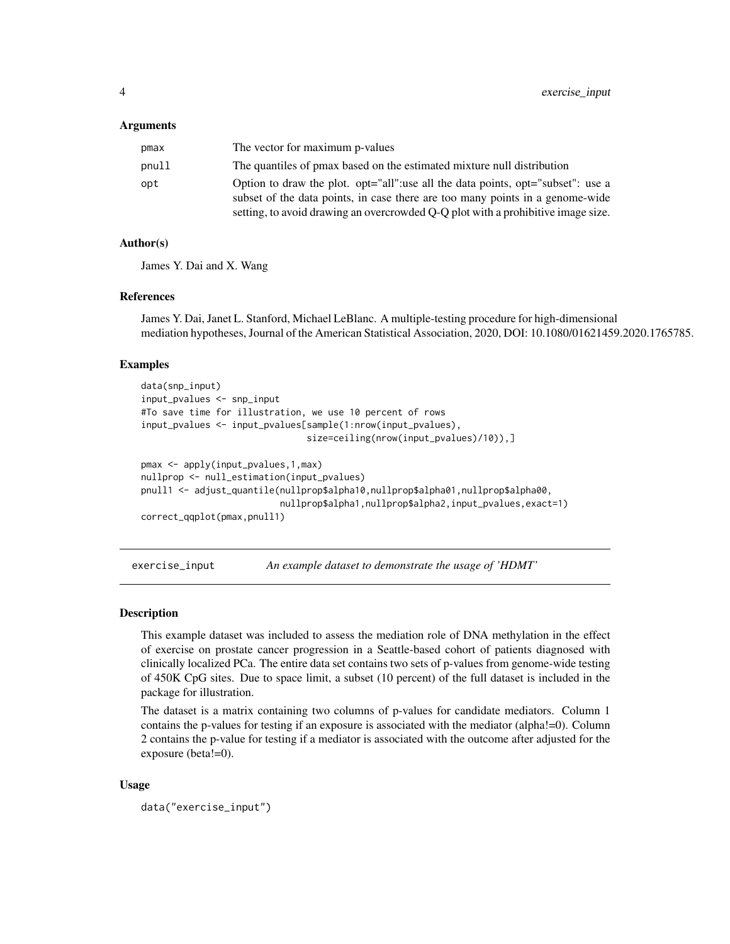#### <span id="page-3-0"></span>Arguments

| pmax  | The vector for maximum p-values                                                  |
|-------|----------------------------------------------------------------------------------|
| pnull | The quantiles of pmax based on the estimated mixture null distribution           |
| opt   | Option to draw the plot. opt="all":use all the data points, opt="subset": use a  |
|       | subset of the data points, in case there are too many points in a genome-wide    |
|       | setting, to avoid drawing an overcrowded Q-Q plot with a prohibitive image size. |

#### Author(s)

James Y. Dai and X. Wang

#### References

James Y. Dai, Janet L. Stanford, Michael LeBlanc. A multiple-testing procedure for high-dimensional mediation hypotheses, Journal of the American Statistical Association, 2020, DOI: 10.1080/01621459.2020.1765785.

#### Examples

```
data(snp_input)
input_pvalues <- snp_input
#To save time for illustration, we use 10 percent of rows
input_pvalues <- input_pvalues[sample(1:nrow(input_pvalues),
                               size=ceiling(nrow(input_pvalues)/10)),]
pmax <- apply(input_pvalues,1,max)
nullprop <- null_estimation(input_pvalues)
pnull1 <- adjust_quantile(nullprop$alpha10,nullprop$alpha01,nullprop$alpha00,
                          nullprop$alpha1,nullprop$alpha2,input_pvalues,exact=1)
correct_qqplot(pmax,pnull1)
```
exercise\_input *An example dataset to demonstrate the usage of 'HDMT'*

#### Description

This example dataset was included to assess the mediation role of DNA methylation in the effect of exercise on prostate cancer progression in a Seattle-based cohort of patients diagnosed with clinically localized PCa. The entire data set contains two sets of p-values from genome-wide testing of 450K CpG sites. Due to space limit, a subset (10 percent) of the full dataset is included in the package for illustration.

The dataset is a matrix containing two columns of p-values for candidate mediators. Column 1 contains the p-values for testing if an exposure is associated with the mediator (alpha!=0). Column 2 contains the p-value for testing if a mediator is associated with the outcome after adjusted for the exposure (beta!=0).

#### Usage

```
data("exercise_input")
```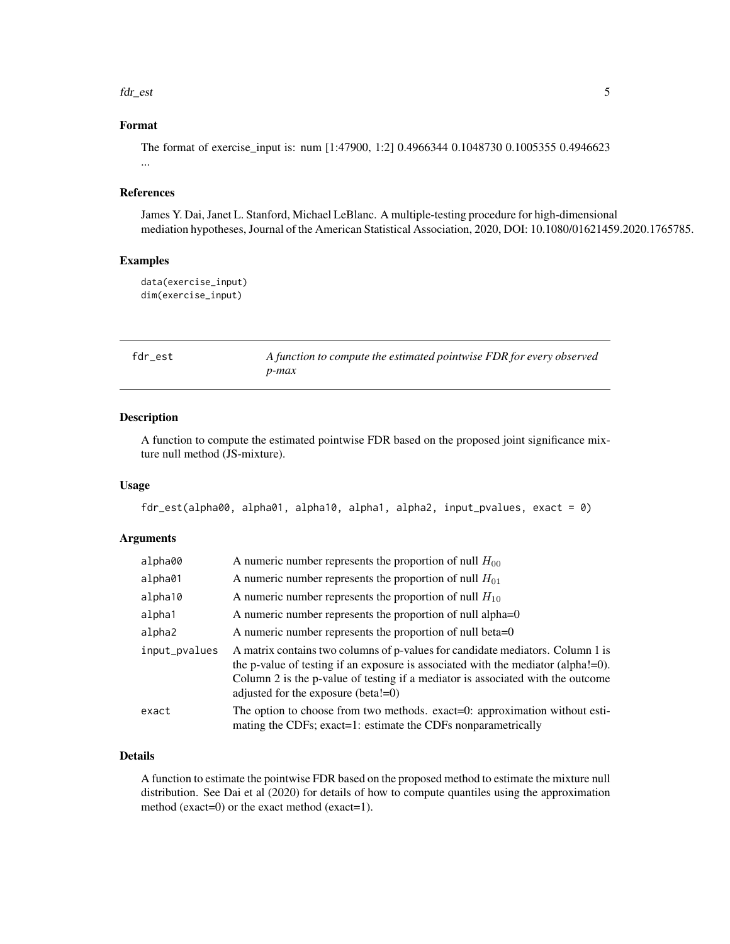#### <span id="page-4-0"></span>fdr\_est 5

#### Format

The format of exercise\_input is: num [1:47900, 1:2] 0.4966344 0.1048730 0.1005355 0.4946623 ...

#### References

James Y. Dai, Janet L. Stanford, Michael LeBlanc. A multiple-testing procedure for high-dimensional mediation hypotheses, Journal of the American Statistical Association, 2020, DOI: 10.1080/01621459.2020.1765785.

#### Examples

```
data(exercise_input)
dim(exercise_input)
```
fdr\_est *A function to compute the estimated pointwise FDR for every observed p-max*

#### Description

A function to compute the estimated pointwise FDR based on the proposed joint significance mixture null method (JS-mixture).

#### Usage

```
fdr_est(alpha00, alpha01, alpha10, alpha1, alpha2, input_pvalues, exact = 0)
```
#### Arguments

| alpha00       | A numeric number represents the proportion of null $H_{00}$                                                                                                                                                                                                                                       |
|---------------|---------------------------------------------------------------------------------------------------------------------------------------------------------------------------------------------------------------------------------------------------------------------------------------------------|
| alpha01       | A numeric number represents the proportion of null $H_{01}$                                                                                                                                                                                                                                       |
| alpha10       | A numeric number represents the proportion of null $H_{10}$                                                                                                                                                                                                                                       |
| alpha1        | A numeric number represents the proportion of null alpha=0                                                                                                                                                                                                                                        |
| alpha2        | A numeric number represents the proportion of null beta=0                                                                                                                                                                                                                                         |
| input_pvalues | A matrix contains two columns of p-values for candidate mediators. Column 1 is<br>the p-value of testing if an exposure is associated with the mediator (alpha!=0).<br>Column 2 is the p-value of testing if a mediator is associated with the outcome<br>adjusted for the exposure (beta! $=0$ ) |
| exact         | The option to choose from two methods. exact=0: approximation without esti-<br>mating the CDFs; exact=1: estimate the CDFs nonparametrically                                                                                                                                                      |

#### Details

A function to estimate the pointwise FDR based on the proposed method to estimate the mixture null distribution. See Dai et al (2020) for details of how to compute quantiles using the approximation method (exact=0) or the exact method (exact=1).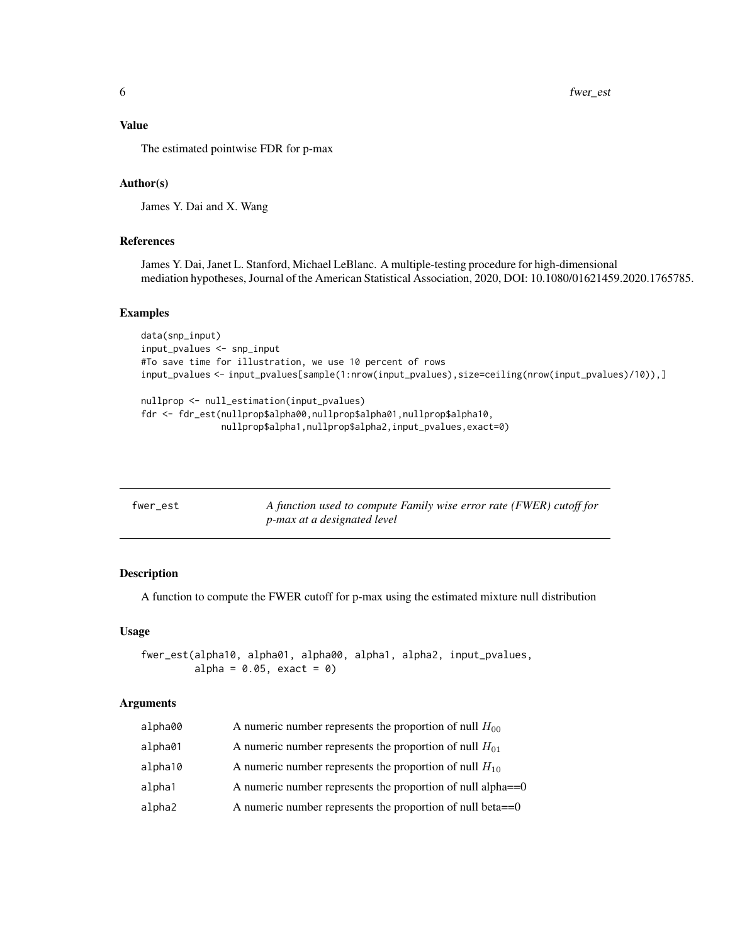#### <span id="page-5-0"></span>Value

The estimated pointwise FDR for p-max

#### Author(s)

James Y. Dai and X. Wang

#### References

James Y. Dai, Janet L. Stanford, Michael LeBlanc. A multiple-testing procedure for high-dimensional mediation hypotheses, Journal of the American Statistical Association, 2020, DOI: 10.1080/01621459.2020.1765785.

#### Examples

```
data(snp_input)
input_pvalues <- snp_input
#To save time for illustration, we use 10 percent of rows
input_pvalues <- input_pvalues[sample(1:nrow(input_pvalues),size=ceiling(nrow(input_pvalues)/10)),]
```

```
nullprop <- null_estimation(input_pvalues)
fdr <- fdr_est(nullprop$alpha00,nullprop$alpha01,nullprop$alpha10,
               nullprop$alpha1,nullprop$alpha2,input_pvalues,exact=0)
```

| fwer est | A function used to compute Family wise error rate (FWER) cutoff for |
|----------|---------------------------------------------------------------------|
|          | <i>p-max at a designated level</i>                                  |

#### Description

A function to compute the FWER cutoff for p-max using the estimated mixture null distribution

#### Usage

```
fwer_est(alpha10, alpha01, alpha00, alpha1, alpha2, input_pvalues,
         alpha = 0.05, exact = 0)
```
#### Arguments

| alpha00 | A numeric number represents the proportion of null $H_{00}$    |
|---------|----------------------------------------------------------------|
| alpha01 | A numeric number represents the proportion of null $H_{01}$    |
| alpha10 | A numeric number represents the proportion of null $H_{10}$    |
| alpha1  | A numeric number represents the proportion of null alpha $==0$ |
| alpha2  | A numeric number represents the proportion of null beta $==0$  |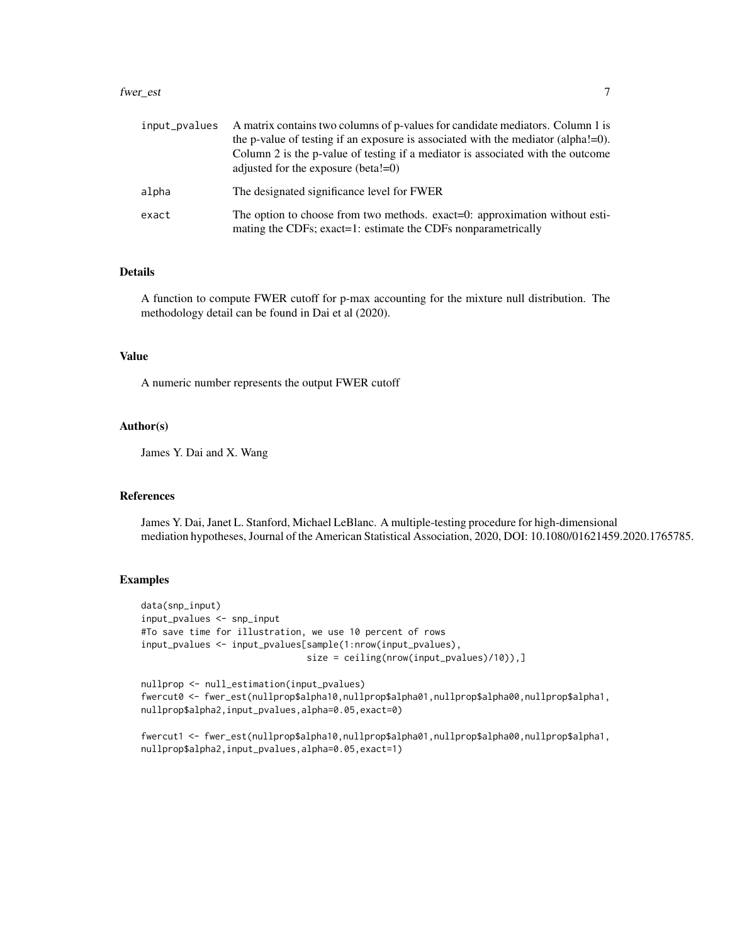#### fwer\_est 7

| input_pvalues | A matrix contains two columns of p-values for candidate mediators. Column 1 is<br>the p-value of testing if an exposure is associated with the mediator (alpha! $=$ 0).<br>Column 2 is the p-value of testing if a mediator is associated with the outcome<br>adjusted for the exposure (beta! $=0$ ) |
|---------------|-------------------------------------------------------------------------------------------------------------------------------------------------------------------------------------------------------------------------------------------------------------------------------------------------------|
| alpha         | The designated significance level for FWER                                                                                                                                                                                                                                                            |
| exact         | The option to choose from two methods. exact=0: approximation without esti-<br>mating the CDFs; exact=1: estimate the CDFs nonparametrically                                                                                                                                                          |

#### Details

A function to compute FWER cutoff for p-max accounting for the mixture null distribution. The methodology detail can be found in Dai et al (2020).

#### Value

A numeric number represents the output FWER cutoff

#### Author(s)

James Y. Dai and X. Wang

#### References

James Y. Dai, Janet L. Stanford, Michael LeBlanc. A multiple-testing procedure for high-dimensional mediation hypotheses, Journal of the American Statistical Association, 2020, DOI: 10.1080/01621459.2020.1765785.

#### Examples

```
data(snp_input)
input_pvalues <- snp_input
#To save time for illustration, we use 10 percent of rows
input_pvalues <- input_pvalues[sample(1:nrow(input_pvalues),
                               size = ceiling(nrow(input_pvalues)/10)),]
nullprop <- null_estimation(input_pvalues)
fwercut0 <- fwer_est(nullprop$alpha10,nullprop$alpha01,nullprop$alpha00,nullprop$alpha1,
nullprop$alpha2,input_pvalues,alpha=0.05,exact=0)
```

```
fwercut1 <- fwer_est(nullprop$alpha10,nullprop$alpha01,nullprop$alpha00,nullprop$alpha1,
nullprop$alpha2,input_pvalues,alpha=0.05,exact=1)
```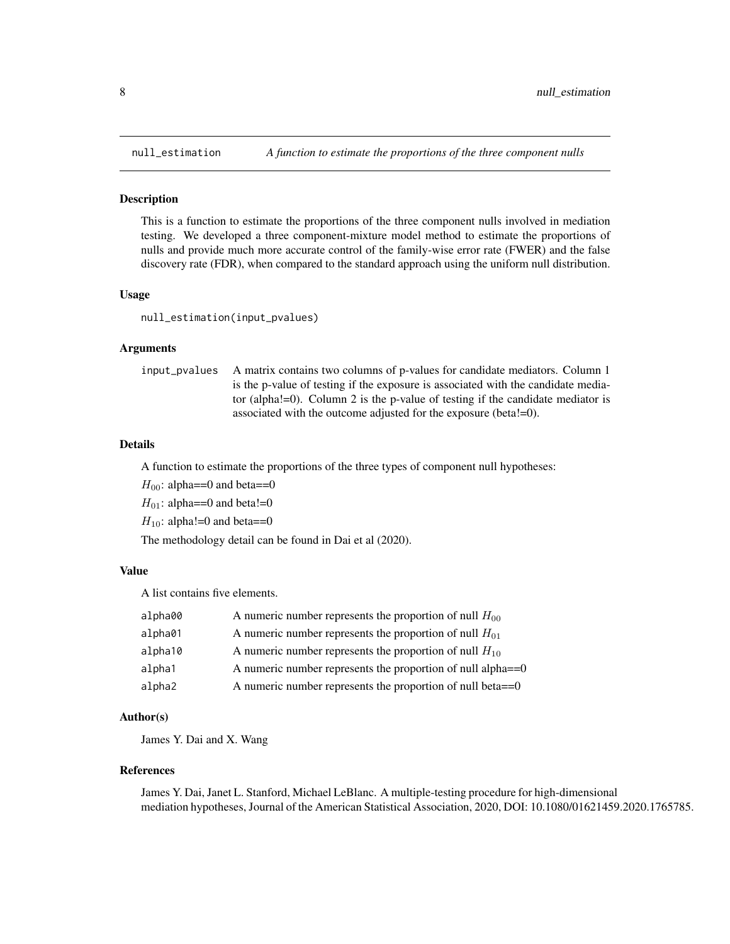<span id="page-7-0"></span>

#### **Description**

This is a function to estimate the proportions of the three component nulls involved in mediation testing. We developed a three component-mixture model method to estimate the proportions of nulls and provide much more accurate control of the family-wise error rate (FWER) and the false discovery rate (FDR), when compared to the standard approach using the uniform null distribution.

#### Usage

null\_estimation(input\_pvalues)

#### Arguments

input\_pvalues A matrix contains two columns of p-values for candidate mediators. Column 1 is the p-value of testing if the exposure is associated with the candidate mediator (alpha!=0). Column 2 is the p-value of testing if the candidate mediator is associated with the outcome adjusted for the exposure (beta!=0).

#### Details

A function to estimate the proportions of the three types of component null hypotheses:

 $H_{00}$ : alpha==0 and beta==0

 $H_{01}$ : alpha==0 and beta!=0

 $H_{10}$ : alpha!=0 and beta==0

The methodology detail can be found in Dai et al (2020).

#### Value

A list contains five elements.

| alpha00 | A numeric number represents the proportion of null $H_{00}$    |
|---------|----------------------------------------------------------------|
| alpha01 | A numeric number represents the proportion of null $H_{01}$    |
| alpha10 | A numeric number represents the proportion of null $H_{10}$    |
| alpha1  | A numeric number represents the proportion of null alpha $==0$ |
| alpha2  | A numeric number represents the proportion of null beta $==0$  |

#### Author(s)

James Y. Dai and X. Wang

#### References

James Y. Dai, Janet L. Stanford, Michael LeBlanc. A multiple-testing procedure for high-dimensional mediation hypotheses, Journal of the American Statistical Association, 2020, DOI: 10.1080/01621459.2020.1765785.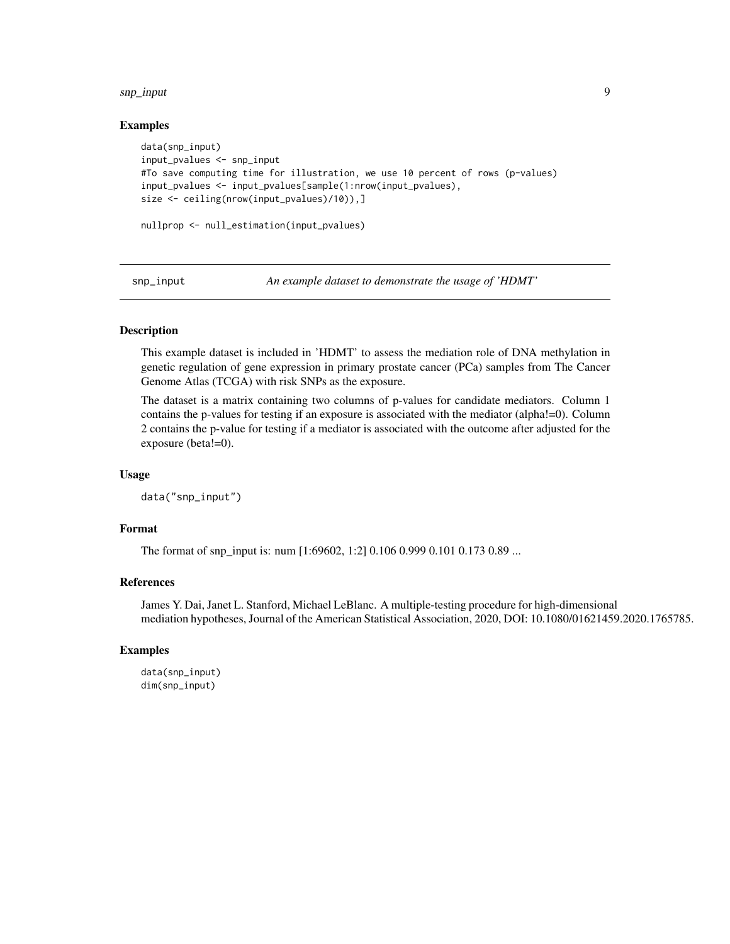#### <span id="page-8-0"></span>snp\_input 99

#### Examples

```
data(snp_input)
input_pvalues <- snp_input
#To save computing time for illustration, we use 10 percent of rows (p-values)
input_pvalues <- input_pvalues[sample(1:nrow(input_pvalues),
size <- ceiling(nrow(input_pvalues)/10)),]
nullprop <- null_estimation(input_pvalues)
```
snp\_input *An example dataset to demonstrate the usage of 'HDMT'*

#### Description

This example dataset is included in 'HDMT' to assess the mediation role of DNA methylation in genetic regulation of gene expression in primary prostate cancer (PCa) samples from The Cancer Genome Atlas (TCGA) with risk SNPs as the exposure.

The dataset is a matrix containing two columns of p-values for candidate mediators. Column 1 contains the p-values for testing if an exposure is associated with the mediator (alpha!=0). Column 2 contains the p-value for testing if a mediator is associated with the outcome after adjusted for the exposure (beta!=0).

#### Usage

data("snp\_input")

#### Format

The format of snp\_input is: num [1:69602, 1:2] 0.106 0.999 0.101 0.173 0.89 ...

#### References

James Y. Dai, Janet L. Stanford, Michael LeBlanc. A multiple-testing procedure for high-dimensional mediation hypotheses, Journal of the American Statistical Association, 2020, DOI: 10.1080/01621459.2020.1765785.

#### Examples

```
data(snp_input)
dim(snp_input)
```